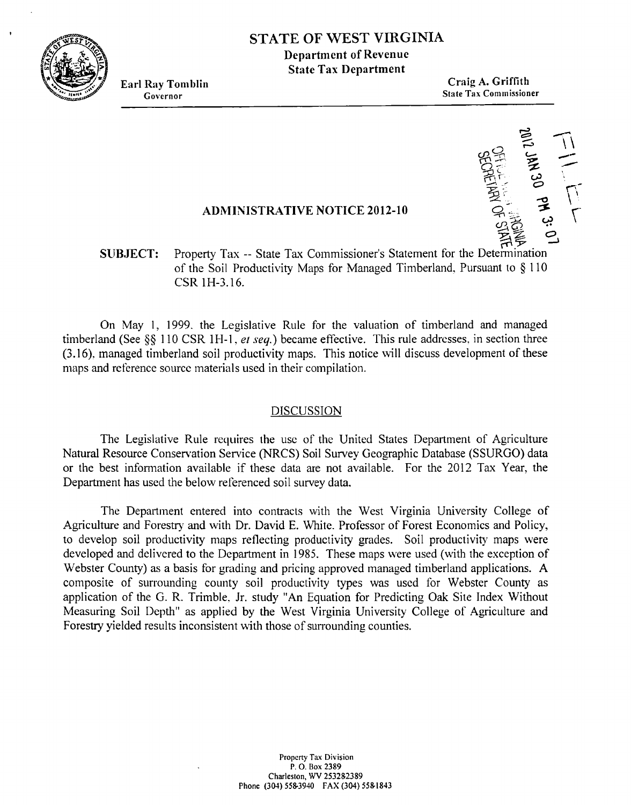

# **<sup>I</sup>STATE OF WEST VIRGINIA**

**1)epartment of Revenue State Tax Department** 

**Earl Ray Tomblin Craig A. Griffith Governor** State Tax Commissioner

TELL LELL

### **ADRIINISTRATIVE NOTICE 2012-10**

### **SUBJECT:** Property Tax -- State Tax Commissioner's Statement for the Determination of the Soil Productivity Maps for Managed Timberland. Pursuant to *5* 110 CSR 1H-3.16.

On May 1, 1999. the Legislative Rule for the valuation of timberland and managed timberland (See §§ 110 CSR 1H-1, et seq.) became effective. This rule addresses, in section three (3.16). managed timberland soil productivity maps. This notice will discuss development of these maps and reference source materials used in their compilation.

#### DISCUSSION

The Legislative Rule requires the usc of thc United States Department of Agriculture Natural Resource Conservation Service (NRCS) Soil Survey Geographic Database (SSURGO) data or the best information available if these data are not available. For the 2012 Tax Year, the Department has used the below referenced soil survey data.

The Department entered into contracts with the West Virginia University College of Agriculture and Forestry and with Dr. David E. White. Professor of Forest Economics and Policy, to develop soil productivity maps reflecting productivity grades. Soil productivity maps were developed and delivered to the Department in 1985. These maps were used (with the exception of Webster County) as a basis for grading and pricing approved managed timberland applications. **A**  composite of surrounding county soil productivity types was used for Webster County as application of the G. R. Trimble. Jr. study "An Equation for Predicting Oak Site Index Without Measuring Soil Depth" as applied by the West Virginia University College of Agriculture and Forestry yielded results inconsistent with those of surrounding counties.